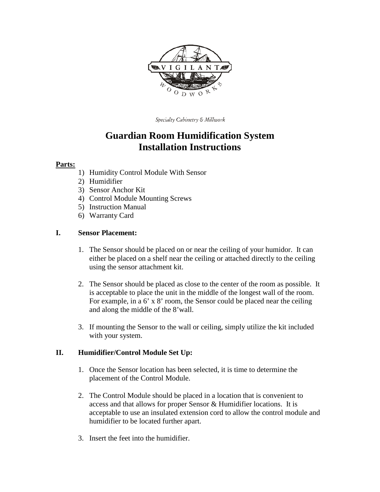

Specialty Cabinetry & Millwork

# **Guardian Room Humidification System Installation Instructions**

#### **Parts:**

- 1) Humidity Control Module With Sensor
- 2) Humidifier
- 3) Sensor Anchor Kit
- 4) Control Module Mounting Screws
- 5) Instruction Manual
- 6) Warranty Card

#### **I. Sensor Placement:**

- 1. The Sensor should be placed on or near the ceiling of your humidor. It can either be placed on a shelf near the ceiling or attached directly to the ceiling using the sensor attachment kit.
- 2. The Sensor should be placed as close to the center of the room as possible. It is acceptable to place the unit in the middle of the longest wall of the room. For example, in a 6' x 8' room, the Sensor could be placed near the ceiling and along the middle of the 8'wall.
- 3. If mounting the Sensor to the wall or ceiling, simply utilize the kit included with your system.

#### **II. Humidifier/Control Module Set Up:**

- 1. Once the Sensor location has been selected, it is time to determine the placement of the Control Module.
- 2. The Control Module should be placed in a location that is convenient to access and that allows for proper Sensor & Humidifier locations. It is acceptable to use an insulated extension cord to allow the control module and humidifier to be located further apart.
- 3. Insert the feet into the humidifier.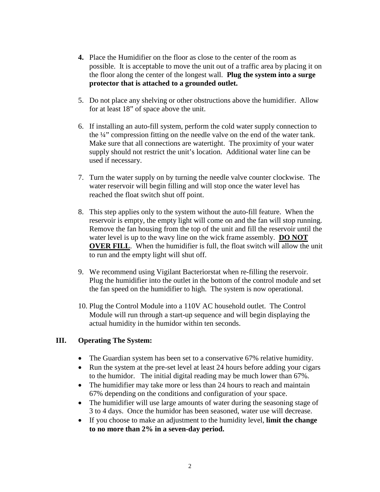- **4.** Place the Humidifier on the floor as close to the center of the room as possible. It is acceptable to move the unit out of a traffic area by placing it on the floor along the center of the longest wall. **Plug the system into a surge protector that is attached to a grounded outlet.**
- 5. Do not place any shelving or other obstructions above the humidifier. Allow for at least 18" of space above the unit.
- 6. If installing an auto-fill system, perform the cold water supply connection to the ¼" compression fitting on the needle valve on the end of the water tank. Make sure that all connections are watertight. The proximity of your water supply should not restrict the unit's location. Additional water line can be used if necessary.
- 7. Turn the water supply on by turning the needle valve counter clockwise. The water reservoir will begin filling and will stop once the water level has reached the float switch shut off point.
- 8. This step applies only to the system without the auto-fill feature. When the reservoir is empty, the empty light will come on and the fan will stop running. Remove the fan housing from the top of the unit and fill the reservoir until the water level is up to the wavy line on the wick frame assembly. **DO NOT OVER FILL.** When the humidifier is full, the float switch will allow the unit to run and the empty light will shut off.
- 9. We recommend using Vigilant Bacteriorstat when re-filling the reservoir. Plug the humidifier into the outlet in the bottom of the control module and set the fan speed on the humidifier to high. The system is now operational.
- 10. Plug the Control Module into a 110V AC household outlet. The Control Module will run through a start-up sequence and will begin displaying the actual humidity in the humidor within ten seconds.

#### **III. Operating The System:**

- The Guardian system has been set to a conservative 67% relative humidity.
- Run the system at the pre-set level at least 24 hours before adding your cigars to the humidor. The initial digital reading may be much lower than 67%.
- The humidifier may take more or less than 24 hours to reach and maintain 67% depending on the conditions and configuration of your space.
- The humidifier will use large amounts of water during the seasoning stage of 3 to 4 days. Once the humidor has been seasoned, water use will decrease.
- If you choose to make an adjustment to the humidity level, **limit the change to no more than 2% in a seven-day period.**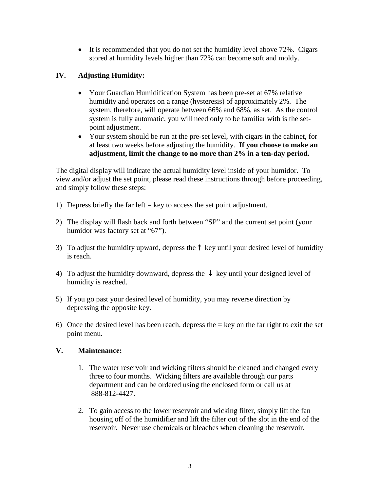• It is recommended that you do not set the humidity level above 72%. Cigars stored at humidity levels higher than 72% can become soft and moldy.

## **IV. Adjusting Humidity:**

- Your Guardian Humidification System has been pre-set at 67% relative humidity and operates on a range (hysteresis) of approximately 2%. The system, therefore, will operate between 66% and 68%, as set. As the control system is fully automatic, you will need only to be familiar with is the setpoint adjustment.
- Your system should be run at the pre-set level, with cigars in the cabinet, for at least two weeks before adjusting the humidity. **If you choose to make an adjustment, limit the change to no more than 2% in a ten-day period.**

The digital display will indicate the actual humidity level inside of your humidor. To view and/or adjust the set point, please read these instructions through before proceeding, and simply follow these steps:

- 1) Depress briefly the far left = key to access the set point adjustment.
- 2) The display will flash back and forth between "SP" and the current set point (your humidor was factory set at "67").
- 3) To adjust the humidity upward, depress the ↑ key until your desired level of humidity is reach.
- 4) To adjust the humidity downward, depress the  $\downarrow$  key until your designed level of humidity is reached.
- 5) If you go past your desired level of humidity, you may reverse direction by depressing the opposite key.
- 6) Once the desired level has been reach, depress the  $=$  key on the far right to exit the set point menu.

### **V. Maintenance:**

- 1. The water reservoir and wicking filters should be cleaned and changed every three to four months. Wicking filters are available through our parts department and can be ordered using the enclosed form or call us at 888-812-4427.
- 2. To gain access to the lower reservoir and wicking filter, simply lift the fan housing off of the humidifier and lift the filter out of the slot in the end of the reservoir. Never use chemicals or bleaches when cleaning the reservoir.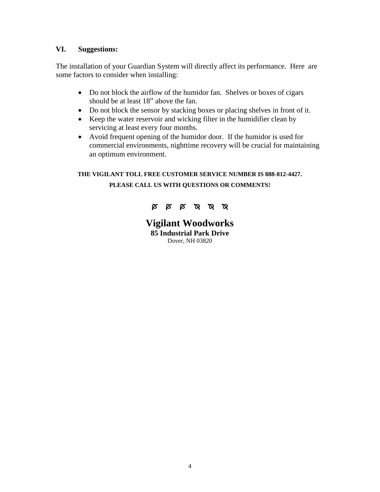#### **VI. Suggestions:**

The installation of your Guardian System will directly affect its performance. Here are some factors to consider when installing:

- Do not block the airflow of the humidor fan. Shelves or boxes of cigars should be at least 18" above the fan.
- Do not block the sensor by stacking boxes or placing shelves in front of it.
- Keep the water reservoir and wicking filter in the humidifier clean by servicing at least every four months.
- Avoid frequent opening of the humidor door. If the humidor is used for commercial environments, nighttime recovery will be crucial for maintaining an optimum environment.

# **THE VIGILANT TOLL FREE CUSTOMER SERVICE NUMBER IS 888-812-4427. PLEASE CALL US WITH QUESTIONS OR COMMENTS!**



**Vigilant Woodworks 85 Industrial Park Drive** Dover, NH 03820